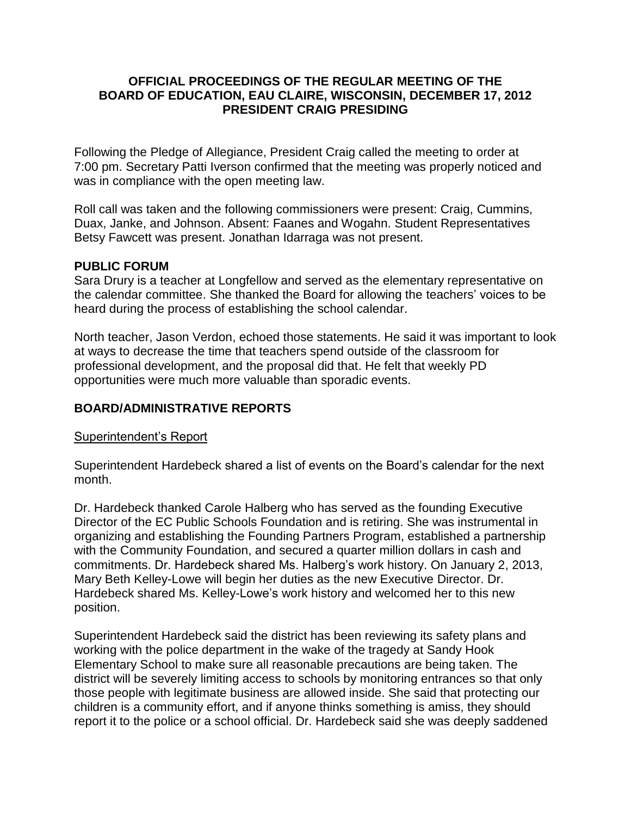### **OFFICIAL PROCEEDINGS OF THE REGULAR MEETING OF THE BOARD OF EDUCATION, EAU CLAIRE, WISCONSIN, DECEMBER 17, 2012 PRESIDENT CRAIG PRESIDING**

Following the Pledge of Allegiance, President Craig called the meeting to order at 7:00 pm. Secretary Patti Iverson confirmed that the meeting was properly noticed and was in compliance with the open meeting law.

Roll call was taken and the following commissioners were present: Craig, Cummins, Duax, Janke, and Johnson. Absent: Faanes and Wogahn. Student Representatives Betsy Fawcett was present. Jonathan Idarraga was not present.

### **PUBLIC FORUM**

Sara Drury is a teacher at Longfellow and served as the elementary representative on the calendar committee. She thanked the Board for allowing the teachers' voices to be heard during the process of establishing the school calendar.

North teacher, Jason Verdon, echoed those statements. He said it was important to look at ways to decrease the time that teachers spend outside of the classroom for professional development, and the proposal did that. He felt that weekly PD opportunities were much more valuable than sporadic events.

## **BOARD/ADMINISTRATIVE REPORTS**

### Superintendent's Report

Superintendent Hardebeck shared a list of events on the Board's calendar for the next month.

Dr. Hardebeck thanked Carole Halberg who has served as the founding Executive Director of the EC Public Schools Foundation and is retiring. She was instrumental in organizing and establishing the Founding Partners Program, established a partnership with the Community Foundation, and secured a quarter million dollars in cash and commitments. Dr. Hardebeck shared Ms. Halberg's work history. On January 2, 2013, Mary Beth Kelley-Lowe will begin her duties as the new Executive Director. Dr. Hardebeck shared Ms. Kelley-Lowe's work history and welcomed her to this new position.

Superintendent Hardebeck said the district has been reviewing its safety plans and working with the police department in the wake of the tragedy at Sandy Hook Elementary School to make sure all reasonable precautions are being taken. The district will be severely limiting access to schools by monitoring entrances so that only those people with legitimate business are allowed inside. She said that protecting our children is a community effort, and if anyone thinks something is amiss, they should report it to the police or a school official. Dr. Hardebeck said she was deeply saddened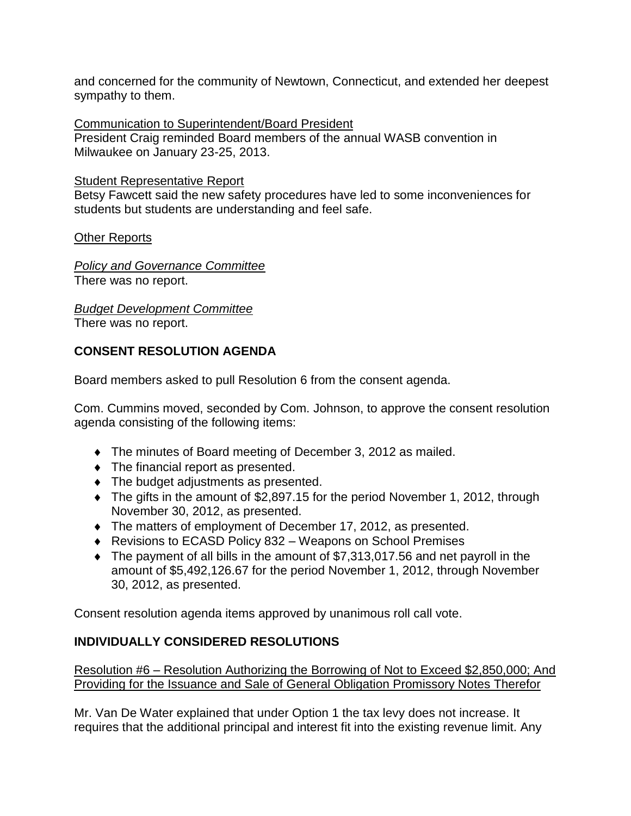and concerned for the community of Newtown, Connecticut, and extended her deepest sympathy to them.

Communication to Superintendent/Board President President Craig reminded Board members of the annual WASB convention in Milwaukee on January 23-25, 2013.

## Student Representative Report

Betsy Fawcett said the new safety procedures have led to some inconveniences for students but students are understanding and feel safe.

Other Reports

*Policy and Governance Committee* There was no report.

*Budget Development Committee*

There was no report.

# **CONSENT RESOLUTION AGENDA**

Board members asked to pull Resolution 6 from the consent agenda.

Com. Cummins moved, seconded by Com. Johnson, to approve the consent resolution agenda consisting of the following items:

- The minutes of Board meeting of December 3, 2012 as mailed.
- The financial report as presented.
- $\bullet$  The budget adjustments as presented.
- The gifts in the amount of \$2,897.15 for the period November 1, 2012, through November 30, 2012, as presented.
- The matters of employment of December 17, 2012, as presented.
- Revisions to ECASD Policy 832 Weapons on School Premises
- The payment of all bills in the amount of \$7,313,017.56 and net payroll in the amount of \$5,492,126.67 for the period November 1, 2012, through November 30, 2012, as presented.

Consent resolution agenda items approved by unanimous roll call vote.

## **INDIVIDUALLY CONSIDERED RESOLUTIONS**

Resolution #6 – Resolution Authorizing the Borrowing of Not to Exceed \$2,850,000; And Providing for the Issuance and Sale of General Obligation Promissory Notes Therefor

Mr. Van De Water explained that under Option 1 the tax levy does not increase. It requires that the additional principal and interest fit into the existing revenue limit. Any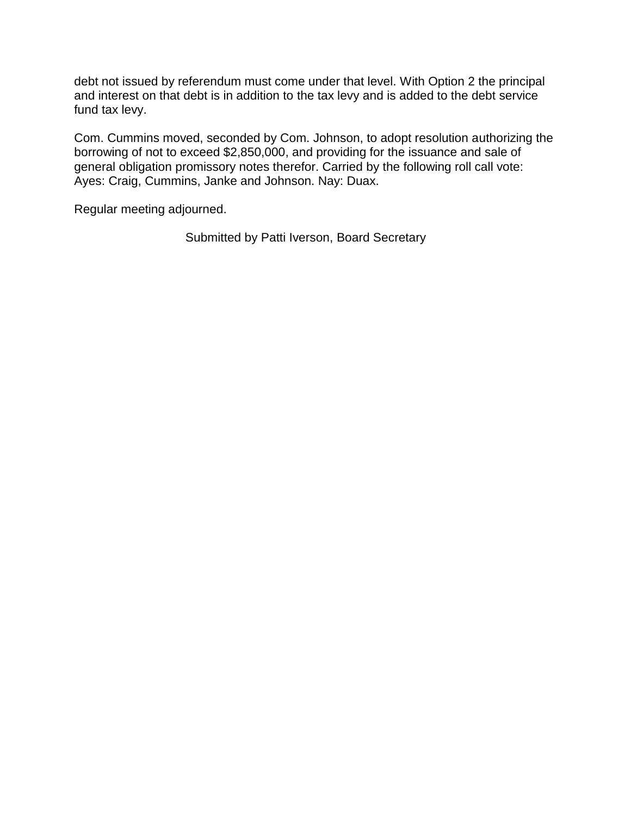debt not issued by referendum must come under that level. With Option 2 the principal and interest on that debt is in addition to the tax levy and is added to the debt service fund tax levy.

Com. Cummins moved, seconded by Com. Johnson, to adopt resolution authorizing the borrowing of not to exceed \$2,850,000, and providing for the issuance and sale of general obligation promissory notes therefor. Carried by the following roll call vote: Ayes: Craig, Cummins, Janke and Johnson. Nay: Duax.

Regular meeting adjourned.

Submitted by Patti Iverson, Board Secretary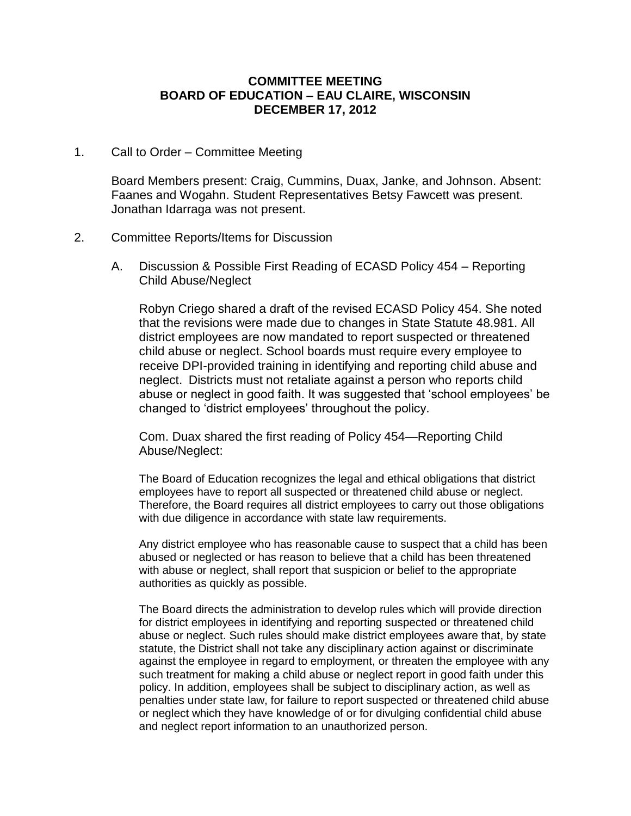#### **COMMITTEE MEETING BOARD OF EDUCATION – EAU CLAIRE, WISCONSIN DECEMBER 17, 2012**

#### 1. Call to Order – Committee Meeting

Board Members present: Craig, Cummins, Duax, Janke, and Johnson. Absent: Faanes and Wogahn. Student Representatives Betsy Fawcett was present. Jonathan Idarraga was not present.

#### 2. Committee Reports/Items for Discussion

A. Discussion & Possible First Reading of ECASD Policy 454 – Reporting Child Abuse/Neglect

Robyn Criego shared a draft of the revised ECASD Policy 454. She noted that the revisions were made due to changes in State Statute 48.981. All district employees are now mandated to report suspected or threatened child abuse or neglect. School boards must require every employee to receive DPI-provided training in identifying and reporting child abuse and neglect. Districts must not retaliate against a person who reports child abuse or neglect in good faith. It was suggested that 'school employees' be changed to 'district employees' throughout the policy.

Com. Duax shared the first reading of Policy 454—Reporting Child Abuse/Neglect:

The Board of Education recognizes the legal and ethical obligations that district employees have to report all suspected or threatened child abuse or neglect. Therefore, the Board requires all district employees to carry out those obligations with due diligence in accordance with state law requirements.

Any district employee who has reasonable cause to suspect that a child has been abused or neglected or has reason to believe that a child has been threatened with abuse or neglect, shall report that suspicion or belief to the appropriate authorities as quickly as possible.

The Board directs the administration to develop rules which will provide direction for district employees in identifying and reporting suspected or threatened child abuse or neglect. Such rules should make district employees aware that, by state statute, the District shall not take any disciplinary action against or discriminate against the employee in regard to employment, or threaten the employee with any such treatment for making a child abuse or neglect report in good faith under this policy. In addition, employees shall be subject to disciplinary action, as well as penalties under state law, for failure to report suspected or threatened child abuse or neglect which they have knowledge of or for divulging confidential child abuse and neglect report information to an unauthorized person.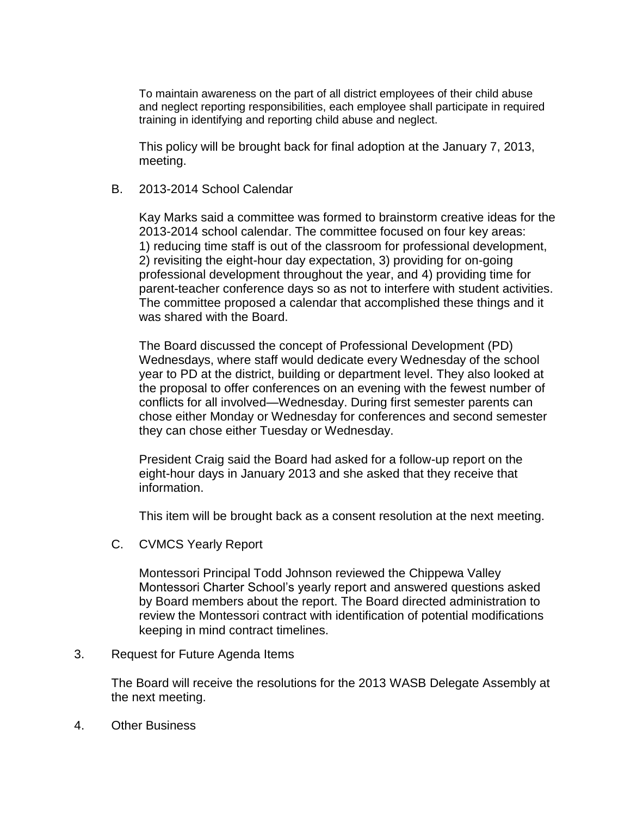To maintain awareness on the part of all district employees of their child abuse and neglect reporting responsibilities, each employee shall participate in required training in identifying and reporting child abuse and neglect.

This policy will be brought back for final adoption at the January 7, 2013, meeting.

B. 2013-2014 School Calendar

Kay Marks said a committee was formed to brainstorm creative ideas for the 2013-2014 school calendar. The committee focused on four key areas: 1) reducing time staff is out of the classroom for professional development, 2) revisiting the eight-hour day expectation, 3) providing for on-going professional development throughout the year, and 4) providing time for parent-teacher conference days so as not to interfere with student activities. The committee proposed a calendar that accomplished these things and it was shared with the Board.

The Board discussed the concept of Professional Development (PD) Wednesdays, where staff would dedicate every Wednesday of the school year to PD at the district, building or department level. They also looked at the proposal to offer conferences on an evening with the fewest number of conflicts for all involved—Wednesday. During first semester parents can chose either Monday or Wednesday for conferences and second semester they can chose either Tuesday or Wednesday.

President Craig said the Board had asked for a follow-up report on the eight-hour days in January 2013 and she asked that they receive that information.

This item will be brought back as a consent resolution at the next meeting.

C. CVMCS Yearly Report

Montessori Principal Todd Johnson reviewed the Chippewa Valley Montessori Charter School's yearly report and answered questions asked by Board members about the report. The Board directed administration to review the Montessori contract with identification of potential modifications keeping in mind contract timelines.

3. Request for Future Agenda Items

The Board will receive the resolutions for the 2013 WASB Delegate Assembly at the next meeting.

4. Other Business